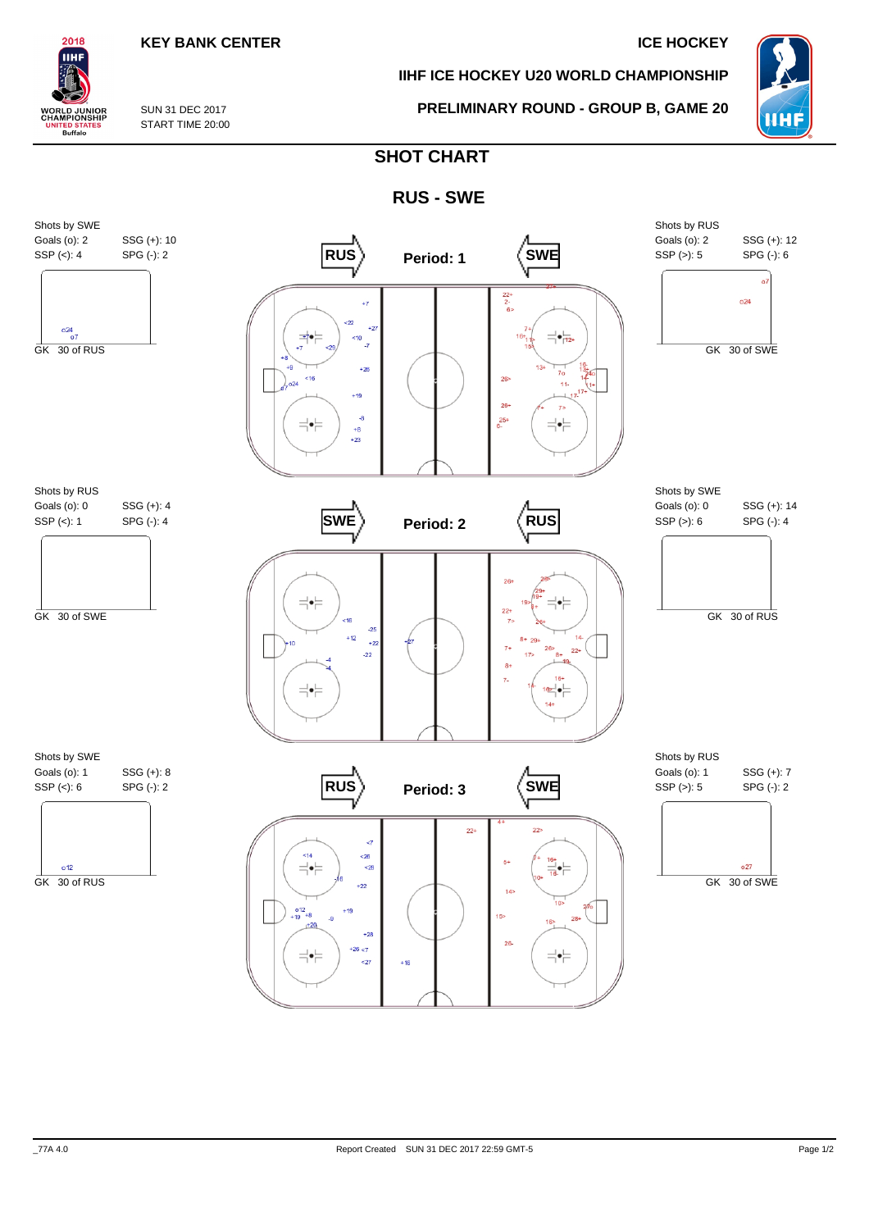## **KEY BANK CENTER IN THE SERVICE HOCKEY**

**IIHF ICE HOCKEY U20 WORLD CHAMPIONSHIP**

**PRELIMINARY ROUND - GROUP B, GAME 20**



SUN 31 DEC 2017 START TIME 20:00

2018 IІHI

**WORLD JUNIOR**<br>CHAMPIONSHIP

**ITED STATES**<br>Buffalo

# **SHOT CHART**